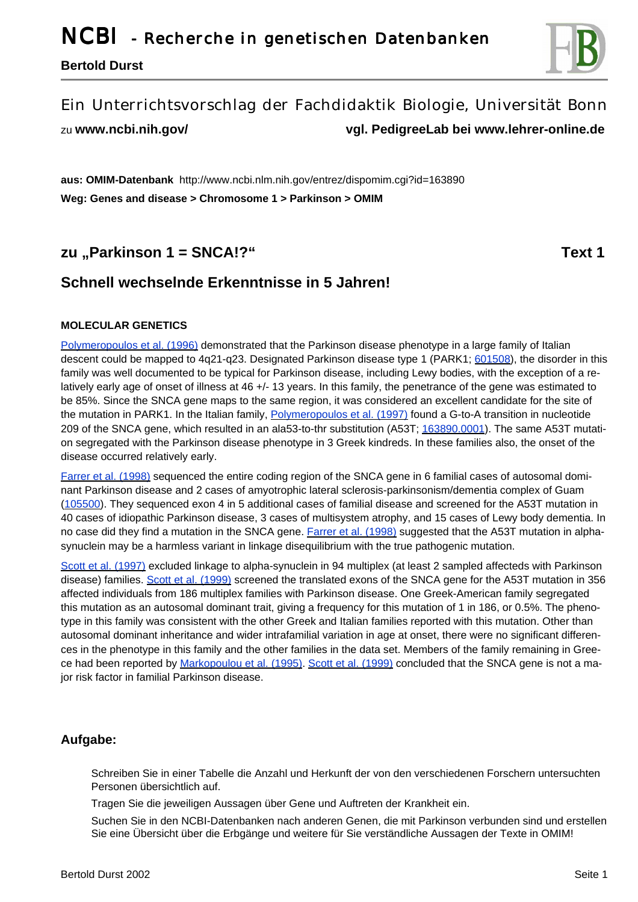**Bertold Durst**



# Ein Unterrichtsvorschlag der Fachdidaktik Biologie, Universität Bonn

zu **www.ncbi.nih.gov/ vgl. PedigreeLab bei www.lehrer-online.de**

**aus: OMIM-Datenbank** http://www.ncbi.nlm.nih.gov/entrez/dispomim.cgi?id=163890 **Weg: Genes and disease > Chromosome 1 > Parkinson > OMIM**

# **zu** "Parkinson 1 = SNCA!?" Text 1

# **Schnell wechselnde Erkenntnisse in 5 Jahren!**

#### **MOLECULAR GENETICS**

Polymeropoulos et al. (1996) demonstrated that the Parkinson disease phenotype in a large family of Italian descent could be mapped to 4q21-q23. Designated Parkinson disease type 1 (PARK1; 601508), the disorder in this family was well documented to be typical for Parkinson disease, including Lewy bodies, with the exception of a relatively early age of onset of illness at 46 +/- 13 years. In this family, the penetrance of the gene was estimated to be 85%. Since the SNCA gene maps to the same region, it was considered an excellent candidate for the site of the mutation in PARK1. In the Italian family, **Polymeropoulos et al.** (1997) found a G-to-A transition in nucleotide 209 of the SNCA gene, which resulted in an ala53-to-thr substitution (A53T; 163890.0001). The same A53T mutation segregated with the Parkinson disease phenotype in 3 Greek kindreds. In these families also, the onset of the disease occurred relatively early.

Farrer et al. (1998) sequenced the entire coding region of the SNCA gene in 6 familial cases of autosomal dominant Parkinson disease and 2 cases of amyotrophic lateral sclerosis-parkinsonism/dementia complex of Guam (105500). They sequenced exon 4 in 5 additional cases of familial disease and screened for the A53T mutation in 40 cases of idiopathic Parkinson disease, 3 cases of multisystem atrophy, and 15 cases of Lewy body dementia. In no case did they find a mutation in the SNCA gene. Farrer et al. (1998) suggested that the A53T mutation in alphasynuclein may be a harmless variant in linkage disequilibrium with the true pathogenic mutation.

Scott et al. (1997) excluded linkage to alpha-synuclein in 94 multiplex (at least 2 sampled affecteds with Parkinson disease) families. Scott et al. (1999) screened the translated exons of the SNCA gene for the A53T mutation in 356 affected individuals from 186 multiplex families with Parkinson disease. One Greek-American family segregated this mutation as an autosomal dominant trait, giving a frequency for this mutation of 1 in 186, or 0.5%. The phenotype in this family was consistent with the other Greek and Italian families reported with this mutation. Other than autosomal dominant inheritance and wider intrafamilial variation in age at onset, there were no significant differences in the phenotype in this family and the other families in the data set. Members of the family remaining in Greece had been reported by Markopoulou et al. (1995). Scott et al. (1999) concluded that the SNCA gene is not a major risk factor in familial Parkinson disease.

## **Aufgabe:**

Schreiben Sie in einer Tabelle die Anzahl und Herkunft der von den verschiedenen Forschern untersuchten Personen übersichtlich auf.

Tragen Sie die jeweiligen Aussagen über Gene und Auftreten der Krankheit ein.

Suchen Sie in den NCBI-Datenbanken nach anderen Genen, die mit Parkinson verbunden sind und erstellen Sie eine Übersicht über die Erbgänge und weitere für Sie verständliche Aussagen der Texte in OMIM!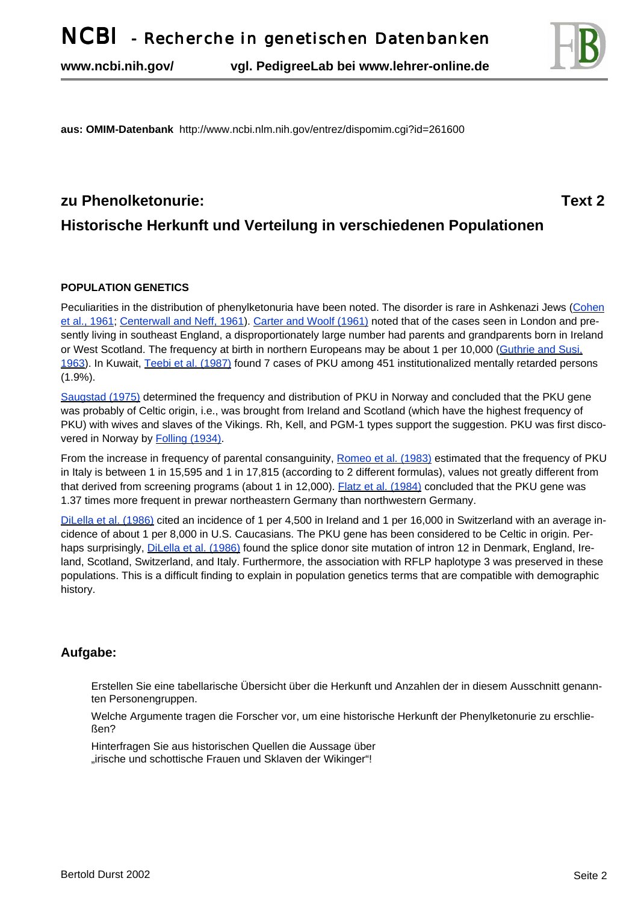**www.ncbi.nih.gov/ vgl. PedigreeLab bei www.lehrer-online.de**



**aus: OMIM-Datenbank** http://www.ncbi.nlm.nih.gov/entrez/dispomim.cgi?id=261600

# **zu Phenolketonurie: Text 2 Historische Herkunft und Verteilung in verschiedenen Populationen**

#### **POPULATION GENETICS**

Peculiarities in the distribution of phenylketonuria have been noted. The disorder is rare in Ashkenazi Jews (Cohen et al., 1961; Centerwall and Neff, 1961). Carter and Woolf (1961) noted that of the cases seen in London and presently living in southeast England, a disproportionately large number had parents and grandparents born in Ireland or West Scotland. The frequency at birth in northern Europeans may be about 1 per 10,000 (Guthrie and Susi, 1963). In Kuwait, Teebi et al. (1987) found 7 cases of PKU among 451 institutionalized mentally retarded persons (1.9%).

Saugstad (1975) determined the frequency and distribution of PKU in Norway and concluded that the PKU gene was probably of Celtic origin, i.e., was brought from Ireland and Scotland (which have the highest frequency of PKU) with wives and slaves of the Vikings. Rh, Kell, and PGM-1 types support the suggestion. PKU was first discovered in Norway by **Folling (1934)**.

From the increase in frequency of parental consanguinity, Romeo et al. (1983) estimated that the frequency of PKU in Italy is between 1 in 15,595 and 1 in 17,815 (according to 2 different formulas), values not greatly different from that derived from screening programs (about 1 in 12,000). Flatz et al. (1984) concluded that the PKU gene was 1.37 times more frequent in prewar northeastern Germany than northwestern Germany.

DiLella et al. (1986) cited an incidence of 1 per 4,500 in Ireland and 1 per 16,000 in Switzerland with an average incidence of about 1 per 8,000 in U.S. Caucasians. The PKU gene has been considered to be Celtic in origin. Perhaps surprisingly, DiLella et al. (1986) found the splice donor site mutation of intron 12 in Denmark, England, Ireland, Scotland, Switzerland, and Italy. Furthermore, the association with RFLP haplotype 3 was preserved in these populations. This is a difficult finding to explain in population genetics terms that are compatible with demographic history.

## **Aufgabe:**

Erstellen Sie eine tabellarische Übersicht über die Herkunft und Anzahlen der in diesem Ausschnitt genannten Personengruppen.

Welche Argumente tragen die Forscher vor, um eine historische Herkunft der Phenylketonurie zu erschließen?

Hinterfragen Sie aus historischen Quellen die Aussage über "irische und schottische Frauen und Sklaven der Wikinger"!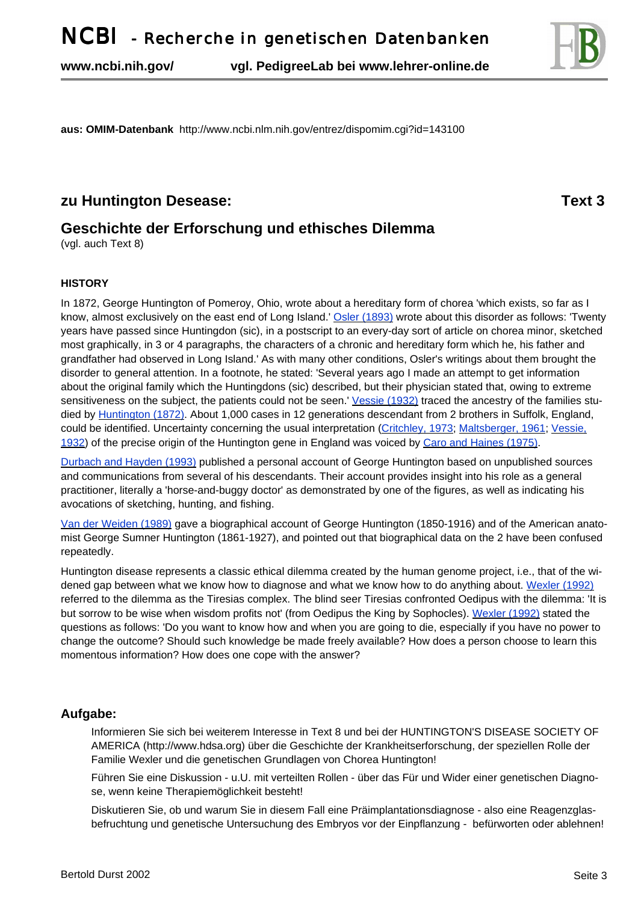**www.ncbi.nih.gov/ vgl. PedigreeLab bei www.lehrer-online.de**



**aus: OMIM-Datenbank** http://www.ncbi.nlm.nih.gov/entrez/dispomim.cgi?id=143100

## **zu Huntington Desease:** Text 3

# **Geschichte der Erforschung und ethisches Dilemma**

(vgl. auch Text 8)

#### **HISTORY**

In 1872, George Huntington of Pomeroy, Ohio, wrote about a hereditary form of chorea 'which exists, so far as I know, almost exclusively on the east end of Long Island.' Osler (1893) wrote about this disorder as follows: 'Twenty years have passed since Huntingdon (sic), in a postscript to an every-day sort of article on chorea minor, sketched most graphically, in 3 or 4 paragraphs, the characters of a chronic and hereditary form which he, his father and grandfather had observed in Long Island.' As with many other conditions, Osler's writings about them brought the disorder to general attention. In a footnote, he stated: 'Several years ago I made an attempt to get information about the original family which the Huntingdons (sic) described, but their physician stated that, owing to extreme sensitiveness on the subject, the patients could not be seen.' Vessie (1932) traced the ancestry of the families studied by Huntington (1872). About 1,000 cases in 12 generations descendant from 2 brothers in Suffolk, England, could be identified. Uncertainty concerning the usual interpretation (Critchley, 1973; Maltsberger, 1961; Vessie, 1932) of the precise origin of the Huntington gene in England was voiced by Caro and Haines (1975).

Durbach and Hayden (1993) published a personal account of George Huntington based on unpublished sources and communications from several of his descendants. Their account provides insight into his role as a general practitioner, literally a 'horse-and-buggy doctor' as demonstrated by one of the figures, as well as indicating his avocations of sketching, hunting, and fishing.

Van der Weiden (1989) gave a biographical account of George Huntington (1850-1916) and of the American anatomist George Sumner Huntington (1861-1927), and pointed out that biographical data on the 2 have been confused repeatedly.

Huntington disease represents a classic ethical dilemma created by the human genome project, i.e., that of the widened gap between what we know how to diagnose and what we know how to do anything about. Wexler (1992) referred to the dilemma as the Tiresias complex. The blind seer Tiresias confronted Oedipus with the dilemma: 'It is but sorrow to be wise when wisdom profits not' (from Oedipus the King by Sophocles). Wexler (1992) stated the questions as follows: 'Do you want to know how and when you are going to die, especially if you have no power to change the outcome? Should such knowledge be made freely available? How does a person choose to learn this momentous information? How does one cope with the answer?

## **Aufgabe:**

Informieren Sie sich bei weiterem Interesse in Text 8 und bei der HUNTINGTON'S DISEASE SOCIETY OF AMERICA (http://www.hdsa.org) über die Geschichte der Krankheitserforschung, der speziellen Rolle der Familie Wexler und die genetischen Grundlagen von Chorea Huntington!

Führen Sie eine Diskussion - u.U. mit verteilten Rollen - über das Für und Wider einer genetischen Diagnose, wenn keine Therapiemöglichkeit besteht!

Diskutieren Sie, ob und warum Sie in diesem Fall eine Präimplantationsdiagnose - also eine Reagenzglasbefruchtung und genetische Untersuchung des Embryos vor der Einpflanzung - befürworten oder ablehnen!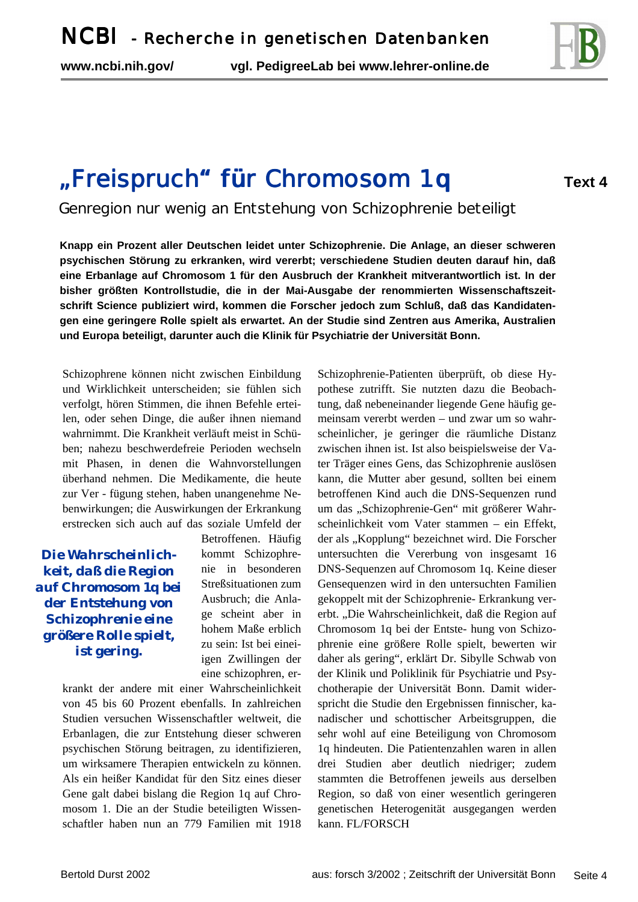

# "Freispruch" für Chromosom 1q

**Text 4**

Genregion nur wenig an Entstehung von Schizophrenie beteiligt

**Knapp ein Prozent aller Deutschen leidet unter Schizophrenie. Die Anlage, an dieser schweren psychischen Störung zu erkranken, wird vererbt; verschiedene Studien deuten darauf hin, daß eine Erbanlage auf Chromosom 1 für den Ausbruch der Krankheit mitverantwortlich ist. In der bisher größten Kontrollstudie, die in der Mai-Ausgabe der renommierten Wissenschaftszeitschrift Science publiziert wird, kommen die Forscher jedoch zum Schluß, daß das Kandidatengen eine geringere Rolle spielt als erwartet. An der Studie sind Zentren aus Amerika, Australien und Europa beteiligt, darunter auch die Klinik für Psychiatrie der Universität Bonn.** 

Schizophrene können nicht zwischen Einbildung und Wirklichkeit unterscheiden; sie fühlen sich verfolgt, hören Stimmen, die ihnen Befehle erteilen, oder sehen Dinge, die außer ihnen niemand wahrnimmt. Die Krankheit verläuft meist in Schüben; nahezu beschwerdefreie Perioden wechseln mit Phasen, in denen die Wahnvorstellungen überhand nehmen. Die Medikamente, die heute zur Ver - fügung stehen, haben unangenehme Nebenwirkungen; die Auswirkungen der Erkrankung erstrecken sich auch auf das soziale Umfeld der

*Die Wahrscheinlichkeit, daß die Region auf Chromosom 1q bei der Entstehung von Schizophrenie eine größere Rolle spielt, ist gering.*

Betroffenen. Häufig kommt Schizophrenie in besonderen Streßsituationen zum Ausbruch; die Anlage scheint aber in hohem Maße erblich zu sein: Ist bei eineiigen Zwillingen der eine schizophren, er-

krankt der andere mit einer Wahrscheinlichkeit von 45 bis 60 Prozent ebenfalls. In zahlreichen Studien versuchen Wissenschaftler weltweit, die Erbanlagen, die zur Entstehung dieser schweren psychischen Störung beitragen, zu identifizieren, um wirksamere Therapien entwickeln zu können. Als ein heißer Kandidat für den Sitz eines dieser Gene galt dabei bislang die Region 1q auf Chromosom 1. Die an der Studie beteiligten Wissenschaftler haben nun an 779 Familien mit 1918 Schizophrenie-Patienten überprüft, ob diese Hypothese zutrifft. Sie nutzten dazu die Beobachtung, daß nebeneinander liegende Gene häufig gemeinsam vererbt werden – und zwar um so wahrscheinlicher, je geringer die räumliche Distanz zwischen ihnen ist. Ist also beispielsweise der Vater Träger eines Gens, das Schizophrenie auslösen kann, die Mutter aber gesund, sollten bei einem betroffenen Kind auch die DNS-Sequenzen rund um das "Schizophrenie-Gen" mit größerer Wahrscheinlichkeit vom Vater stammen – ein Effekt, der als "Kopplung" bezeichnet wird. Die Forscher untersuchten die Vererbung von insgesamt 16 DNS-Sequenzen auf Chromosom 1q. Keine dieser Gensequenzen wird in den untersuchten Familien gekoppelt mit der Schizophrenie- Erkrankung vererbt. "Die Wahrscheinlichkeit, daß die Region auf Chromosom 1q bei der Entste- hung von Schizophrenie eine größere Rolle spielt, bewerten wir daher als gering", erklärt Dr. Sibylle Schwab von der Klinik und Poliklinik für Psychiatrie und Psychotherapie der Universität Bonn. Damit widerspricht die Studie den Ergebnissen finnischer, kanadischer und schottischer Arbeitsgruppen, die sehr wohl auf eine Beteiligung von Chromosom 1q hindeuten. Die Patientenzahlen waren in allen drei Studien aber deutlich niedriger; zudem stammten die Betroffenen jeweils aus derselben Region, so daß von einer wesentlich geringeren genetischen Heterogenität ausgegangen werden kann. FL/FORSCH